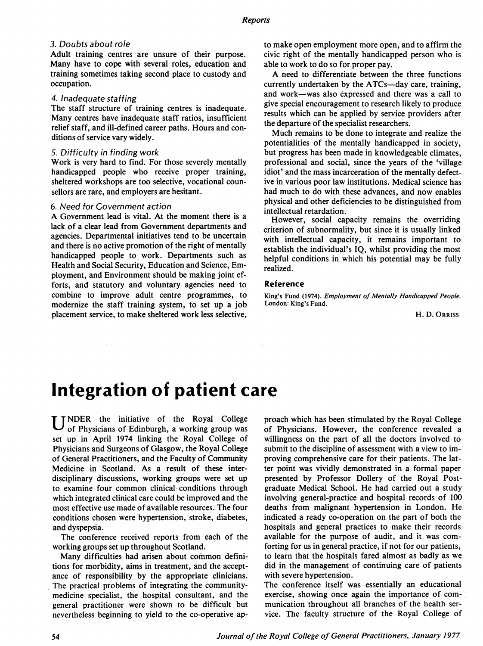## 3. Doubts about role

Adult training centres are unsure of their purpose. Many have to cope with several roles, education and training sometimes taking second place to custody and occupation.

#### 4. Inadequate staffing

The staff structure of training centres is inadequate. Many centres have inadequate staff ratios, insufficient relief staff, and ill-defined career paths. Hours and conditions of service vary widely.

#### 5. Difficulty in finding work

Work is very hard to find. For those severely mentally handicapped people who receive proper training, sheltered workshops are too selective, vocational counsellors are rare, and employers are hesitant.

### 6. Need for Government action

A Government lead is vital. At the moment there is <sup>a</sup> lack of a clear lead from Government departments and agencies. Departmental initiatives tend to be uncertain and there is no active promotion of the right of mentally handicapped people to work. Departments such as Health and Social Security, Education and Science, Employment, and Environment should be making joint efforts, and statutory and voluntary agencies need to combine to improve adult centre programmes, to modernize the staff training system, to set up a job placement service, to make sheltered work less selective, to make open employment more open, and to affirm the civic right of the mentally handicapped person who is able to work to do so for proper pay.

A need to differentiate between the three functions currently undertaken by the  $ATCs$ —day care, training, and work-was also expressed and there was a call to give special encouragement to research likely to produce results which can be applied by service providers after the departure of the specialist researchers.

Much remains to be done to integrate and realize the potentialities of the mentally handicapped in society, but progress has been made in knowledgeable climates, professional and social, since the years of the 'village idiot' and the mass incarceration of the mentally defective in various poor law institutions. Medical science has had much to do with these advances, and now enables physical and other deficiencies to be distinguished from intellectual retardation.

However, social capacity remains the overriding criterion of subnormality, but since it is usually linked with intellectual capacity, it remains important to establish the individual's IQ, whilst providing the most helpful conditions in which his potential may be fully realized.

## Reference

King's Fund (1974). Employment of Mentally Handicapped People. London: King's Fund.

H. D. ORRISS

## Integration of patient care

U NDER the initiative of the Royal College of Physicians of Edinburgh, a working group was set up in April 1974 linking the Royal College of Physicians and Surgeons of Glasgow, the Royal College of General Practitioners, and the Faculty of Community Medicine in Scotland. As a result of these interdisciplinary discussions, working groups were set up to examine four common clinical conditions through which integrated clinical care could be improved and the most effective use made of available resources. The four conditions chosen were hypertension, stroke, diabetes, and dyspepsia.

The conference received reports from each of the working groups set up throughout Scotland.

Many difficulties had arisen about common definitions for morbidity, aims in treatment, and the acceptance of responsibility by the appropriate clinicians. The practical problems of integrating the communitymedicine specialist, the hospital consultant, and the general practitioner were shown to be difficult but nevertheless beginning to yield to the co-operative approach which has been stimulated by the Royal College of Physicians. However, the conference revealed a willingness on the part of all the doctors involved to submit to the discipline of assessment with a view to improving comprehensive care for their patients. The latter point was vividly demonstrated in a formal paper presented by Professor Dollery of the Royal Postgraduate Medical School. He had carried out a study involving general-practice and hospital records of 100 deaths from malignant hypertension in London. He indicated a ready co-operation on the part of both the hospitals and general practices to make their records available for the purpose of audit, and it was comforting for us in general practice, if not for our patients, to learn that the hospitals fared almost as badly as we did in the management of continuing care of patients with severe hypertension.

The conference itself was essentially an educational exercise, showing once again the importance of communication throughout all branches of the health service. The faculty structure of the Royal College of

54 Journal of the Royal College of General Practitioners, January 1977